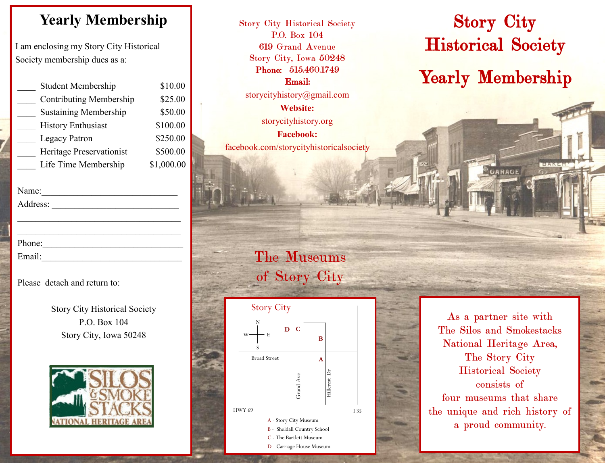## **Yearly Membership**

I am enclosing my Story City Historical Society membership dues as a:

| <b>Student Membership</b>    | \$10.00    |
|------------------------------|------------|
| Contributing Membership      | \$25.00    |
| <b>Sustaining Membership</b> | \$50.00    |
| <b>History Enthusiast</b>    | \$100.00   |
| <b>Legacy Patron</b>         | \$250.00   |
| Heritage Preservationist     | \$500.00   |
| Life Time Membership         | \$1,000.00 |
|                              |            |

| Name:    |  |  |
|----------|--|--|
| Address: |  |  |
|          |  |  |
|          |  |  |
| Phone:   |  |  |
| Email:   |  |  |
|          |  |  |

#### Please detach and return to:

Story City Historical Society P.O. Box 104 Story City, Iowa 50248



Story City Historical Society P.O. Box 104 619 Grand Avenue Story City, Iowa 50248 Phone: 515.460.1749 Email: storycityhistory@gmail.com **Website:**

storycityhistory.org **Facebook:** facebook.com/storycityhistoricalsociety

## The Museums of Story City



# Story City Historical Society Yearly Membership

GARAGE

BAN

As a partner site with The Silos and Smokestacks National Heritage Area, The Story City Historical Society consists of four museums that share the unique and rich history of a proud community.